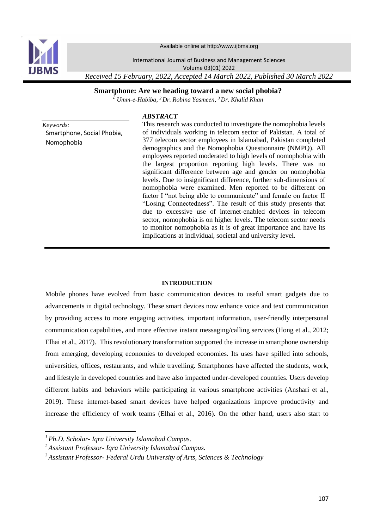

Available online at http://www.ijbms.org

International Journal of Business and Management Sciences

Volume 03(01) 2022

*Received 15 February, 2022, Accepted 14 March 2022, Published 30 March 2022* 

**Smartphone: Are we heading toward a new social phobia?**

*<sup>1</sup> Umm-e-Habiba, <sup>2</sup>Dr. Robina Yasmeen, <sup>3</sup>Dr. Khalid Khan*

# *ABSTRACT*

*Keywords:* Smartphone, Social Phobia, Nomophobia

This research was conducted to investigate the nomophobia levels of individuals working in telecom sector of Pakistan. A total of 377 telecom sector employees in Islamabad, Pakistan completed demographics and the Nomophobia Questionnaire (NMPQ). All employees reported moderated to high levels of nomophobia with the largest proportion reporting high levels. There was no significant difference between age and gender on nomophobia levels. Due to insignificant difference, further sub-dimensions of nomophobia were examined. Men reported to be different on factor I "not being able to communicate" and female on factor II "Losing Connectedness". The result of this study presents that due to excessive use of internet-enabled devices in telecom sector, nomophobia is on higher levels. The telecom sector needs to monitor nomophobia as it is of great importance and have its implications at individual, societal and university level.

### **INTRODUCTION**

Mobile phones have evolved from basic communication devices to useful smart gadgets due to advancements in digital technology. These smart devices now enhance voice and text communication by providing access to more engaging activities, important information, user-friendly interpersonal communication capabilities, and more effective instant messaging/calling services (Hong et al., 2012; Elhai et al., 2017). This revolutionary transformation supported the increase in smartphone ownership from emerging, developing economies to developed economies. Its uses have spilled into schools, universities, offices, restaurants, and while travelling. Smartphones have affected the students, work, and lifestyle in developed countries and have also impacted under-developed countries. Users develop different habits and behaviors while participating in various smartphone activities (Anshari et al., 2019). These internet-based smart devices have helped organizations improve productivity and increase the efficiency of work teams (Elhai et al., 2016). On the other hand, users also start to

1

*<sup>1</sup> Ph.D. Scholar- Iqra University Islamabad Campus.*

*<sup>2</sup>Assistant Professor- Iqra University Islamabad Campus.*

*<sup>3</sup> Assistant Professor- Federal Urdu University of Arts, Sciences & Technology*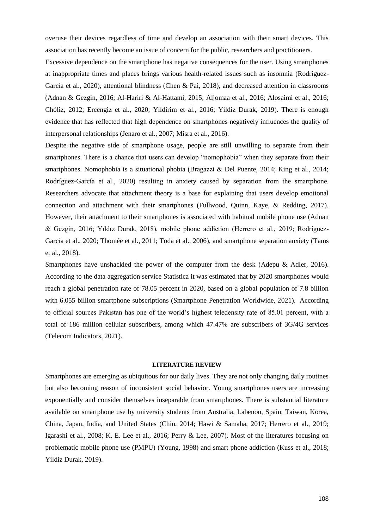overuse their devices regardless of time and develop an association with their smart devices. This association has recently become an issue of concern for the public, researchers and practitioners.

Excessive dependence on the smartphone has negative consequences for the user. Using smartphones at inappropriate times and places brings various health-related issues such as insomnia (Rodríguez-García et al., 2020), attentional blindness (Chen & Pai, 2018), and decreased attention in classrooms (Adnan & Gezgin, 2016; Al-Hariri & Al-Hattami, 2015; Aljomaa et al., 2016; Alosaimi et al., 2016; Chóliz, 2012; Ercengiz et al., 2020; Yildirim et al., 2016; Yildiz Durak, 2019). There is enough evidence that has reflected that high dependence on smartphones negatively influences the quality of interpersonal relationships (Jenaro et al., 2007; Misra et al., 2016).

Despite the negative side of smartphone usage, people are still unwilling to separate from their smartphones. There is a chance that users can develop "nomophobia" when they separate from their smartphones. Nomophobia is a situational phobia (Bragazzi & Del Puente, 2014; King et al., 2014; Rodríguez-García et al., 2020) resulting in anxiety caused by separation from the smartphone. Researchers advocate that attachment theory is a base for explaining that users develop emotional connection and attachment with their smartphones (Fullwood, Quinn, Kaye, & Redding, 2017). However, their attachment to their smartphones is associated with habitual mobile phone use (Adnan & Gezgin, 2016; Yıldız Durak, 2018), mobile phone addiction (Herrero et al., 2019; Rodríguez-García et al., 2020; Thomée et al., 2011; Toda et al., 2006), and smartphone separation anxiety (Tams et al., 2018).

Smartphones have unshackled the power of the computer from the desk [\(Adepu & Adler, 2016\).](https://www.zotero.org/google-docs/?NPBuhN) According to the data aggregation service Statistica it was estimated that by 2020 smartphones would reach a global penetration rate of 78.05 percent in 2020, based on a global population of 7.8 billion with 6.055 billion smartphone subscriptions [\(Smartphone Penetration Worldwide, 2021\).](https://www.zotero.org/google-docs/?FdJ0wV) According to official sources Pakistan has one of the world's highest teledensity rate of 85.01 percent, with a total of 186 million cellular subscribers, among which 47.47% are subscribers of 3G/4G services [\(Telecom Indicators, 2021\).](https://www.zotero.org/google-docs/?meNDlE)

## **LITERATURE REVIEW**

Smartphones are emerging as ubiquitous for our daily lives. They are not only changing daily routines but also becoming reason of inconsistent social behavior. Young smartphones users are increasing exponentially and consider themselves inseparable from smartphones. There is substantial literature available on smartphone use by university students from Australia, Labenon, Spain, Taiwan, Korea, China, Japan, India, and United States (Chiu, 2014; Hawi & Samaha, 2017; Herrero et al., 2019; Igarashi et al., 2008; K. E. Lee et al., 2016; Perry & Lee, 2007). Most of the literatures focusing on problematic mobile phone use (PMPU) (Young, 1998) and smart phone addiction (Kuss et al., 2018; Yildiz Durak, 2019).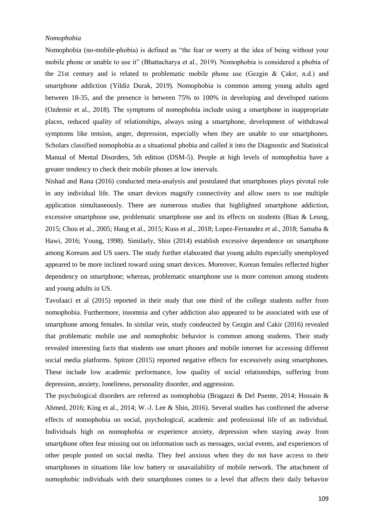# *Nomophobia*

Nomophobia (no-mobile-phobia) is defined as "the fear or worry at the idea of being without your mobile phone or unable to use it" (Bhattacharya et al., 2019). Nomophobia is considered a phobia of the 21st century and is related to problematic mobile phone use (Gezgin  $\&$  Cakir, n.d.) and smartphone addiction (Yildiz Durak, 2019). Nomophobia is common among young adults aged between 18-35, and the presence is between 75% to 100% in developing and developed nations (Ozdemir et al., 2018). The symptoms of nomophobia include using a smartphone in inappropriate places, reduced quality of relationships, always using a smartphone, development of withdrawal symptoms like tension, anger, depression, especially when they are unable to use smartphones. Scholars classified nomophobia as a situational phobia and called it into the Diagnostic and Statistical Manual of Mental Disorders, 5th edition (DSM-5). People at high levels of nomophobia have a greater tendency to check their mobile phones at low intervals.

Nishad and Rana (2016) conducted meta-analysis and postulated that smartphones plays pivotal role in any individual life. The smart devices magnify connectivity and allow users to use multiple application simultaneously. There are numerous studies that highlighted smartphone addiction, excessive smartphone use, problematic smartphone use and its effects on students (Bian & Leung, 2015; Chou et al., 2005; Haug et al., 2015; Kuss et al., 2018; Lopez-Fernandez et al., 2018; Samaha & Hawi, 2016; Young, 1998). Similarly, Shin (2014) establish excessive dependence on smartphone among Koreans and US users. The study further elaborated that young adults especially unemployed appeared to be more inclined toward using smart devices. Moreover, Korean females reflected higher dependency on smartphone; whereas, problematic smartphone use is more common among students and young adults in US.

Tavolaaci et al (2015) reported in their study that one third of the college students suffer from nomophobia. Furthermore, insomnia and cyber addiction also appeared to be associated with use of smartphone among females. In similar vein, study condeucted by Gezgin and Cakir (2016) revealed that problematic mobile use and nomophobic behavior is common among students. Their study revealed interesting facts that students use smart phones and mobile internet for accessing different social media platforms. Spitzer (2015) reported negative effects for excessively using smartphones. These include low academic performance, low quality of social relationships, suffering from depression, anxiety, loneliness, personality disorder, and aggression.

The psychological disorders are referred as nomophobia (Bragazzi & Del Puente, 2014; Hossain & Ahmed, 2016; King et al., 2014; W.-J. Lee & Shin, 2016). Several studies has confirmed the adverse effects of nomophobia on social, psychological, academic and professional life of an individual. Individuals high on nomophobia or experience anxiety, depression when staying away from smartphone often fear missing out on information such as messages, social events, and experiences of other people posted on social media. They feel anxious when they do not have access to their smartphones in situations like low battery or unavailability of mobile network. The attachment of nomophobic individuals with their smartphones comes to a level that affects their daily behavior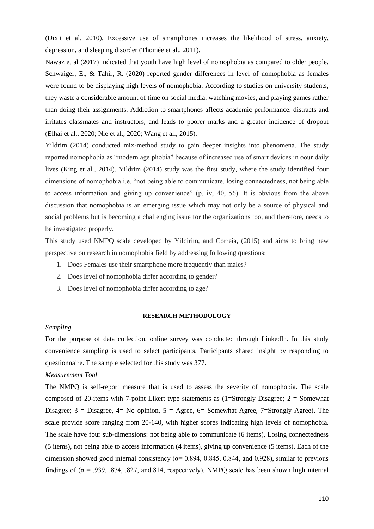(Dixit et al. 2010). Excessive use of smartphones increases the likelihood of stress, anxiety, depression, and sleeping disorder (Thomée et al., 2011).

Nawaz et al (2017) indicated that youth have high level of nomophobia as compared to older people. Schwaiger, E., & Tahir, R. (2020) reported gender differences in level of nomophobia as females were found to be displaying high levels of nomophobia. According to studies on university students, they waste a considerable amount of time on social media, watching movies, and playing games rather than doing their assignments. Addiction to smartphones affects academic performance, distracts and irritates classmates and instructors, and leads to poorer marks and a greater incidence of dropout (Elhai et al., 2020; Nie et al., 2020; Wang et al., 2015).

Yildrim (2014) conducted mix-method study to gain deeper insights into phenomena. The study reported nomophobia as "modern age phobia" because of increased use of smart devices in oour daily lives (King et al., 2014). Yildrim (2014) study was the first study, where the study identified four dimensions of nomophobia i.e. "not being able to communicate, losing connectedness, not being able to access information and giving up convenience" (p. iv, 40, 56). It is obvious from the above discussion that nomophobia is an emerging issue which may not only be a source of physical and social problems but is becoming a challenging issue for the organizations too, and therefore, needs to be investigated properly.

This study used NMPQ scale developed by Yildirim, and Correia, (2015) and aims to bring new perspective on research in nomophobia field by addressing following questions:

- 1. Does Females use their smartphone more frequently than males?
- 2. Does level of nomophobia differ according to gender?
- 3. Does level of nomophobia differ according to age?

#### **RESEARCH METHODOLOGY**

# *Sampling*

For the purpose of data collection, online survey was conducted through LinkedIn. In this study convenience sampling is used to select participants. Participants shared insight by responding to questionnaire. The sample selected for this study was 377.

# *Measurement Tool*

The NMPQ is self-report measure that is used to assess the severity of nomophobia. The scale composed of 20-items with 7-point Likert type statements as  $(1=Strongly Disagree; 2 = Somewhat)$ Disagree;  $3 = Disagree$ ,  $4 = No$  opinion,  $5 = Agree$ ,  $6 = Somewhat$  Agree,  $7 = Strongly$  Agree). The scale provide score ranging from 20-140, with higher scores indicating high levels of nomophobia. The scale have four sub-dimensions: not being able to communicate (6 items), Losing connectedness (5 items), not being able to access information (4 items), giving up convenience (5 items). Each of the dimension showed good internal consistency ( $\alpha$ = 0.894, 0.845, 0.844, and 0.928), similar to previous findings of ( $\alpha$  = .939, .874, .827, and.814, respectively). NMPQ scale has been shown high internal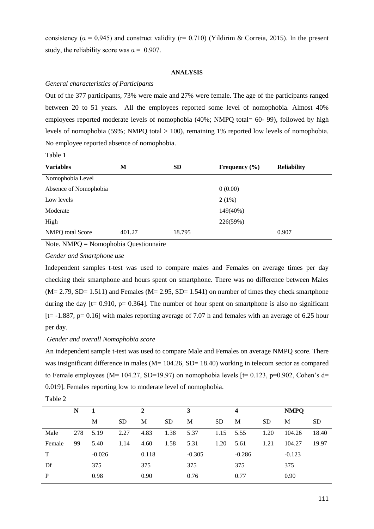consistency ( $\alpha$  = 0.945) and construct validity (r= 0.710) (Yildirim & Correia, 2015). In the present study, the reliability score was  $\alpha = 0.907$ .

### **ANALYSIS**

### *General characteristics of Participants*

Out of the 377 participants, 73% were male and 27% were female. The age of the participants ranged between 20 to 51 years. All the employees reported some level of nomophobia. Almost 40% employees reported moderate levels of nomophobia (40%; NMPQ total= 60- 99), followed by high levels of nomophobia (59%; NMPQ total > 100), remaining 1% reported low levels of nomophobia. No employee reported absence of nomophobia.

Table 1

| <b>Variables</b>      | M      | <b>SD</b> | Frequency $(\% )$ | <b>Reliability</b> |
|-----------------------|--------|-----------|-------------------|--------------------|
| Nomophobia Level      |        |           |                   |                    |
| Absence of Nomophobia |        |           | 0(0.00)           |                    |
| Low levels            |        |           | $2(1\%)$          |                    |
| Moderate              |        |           | 149(40%)          |                    |
| High                  |        |           | 226(59%)          |                    |
| NMPQ total Score      | 401.27 | 18.795    |                   | 0.907              |

Note. NMPQ = Nomophobia Questionnaire

*Gender and Smartphone use*

Independent samples t-test was used to compare males and Females on average times per day checking their smartphone and hours spent on smartphone. There was no difference between Males  $(M= 2.79, SD= 1.511)$  and Females  $(M= 2.95, SD= 1.541)$  on number of times they check smartphone during the day  $[t= 0.910, p= 0.364]$ . The number of hour spent on smartphone is also no significant  $[t= -1.887, p= 0.16]$  with males reporting average of 7.07 h and females with an average of 6.25 hour per day.

#### *Gender and overall Nomophobia score*

An independent sample t-test was used to compare Male and Females on average NMPQ score. There was insignificant difference in males (M= 104.26, SD= 18.40) working in telecom sector as compared to Female employees (M= 104.27, SD=19.97) on nomophobia levels [t= 0.123, p=0.902, Cohen's d= 0.019]. Females reporting low to moderate level of nomophobia.

|        | N   | 1        |           | 2     |           | 3        |           | 4        |           | <b>NMPQ</b> |           |
|--------|-----|----------|-----------|-------|-----------|----------|-----------|----------|-----------|-------------|-----------|
|        |     | M        | <b>SD</b> | M     | <b>SD</b> | M        | <b>SD</b> | M        | <b>SD</b> | M           | <b>SD</b> |
| Male   | 278 | 5.19     | 2.27      | 4.83  | 1.38      | 5.37     | 1.15      | 5.55     | 1.20      | 104.26      | 18.40     |
| Female | 99  | 5.40     | 1.14      | 4.60  | 1.58      | 5.31     | 1.20      | 5.61     | 1.21      | 104.27      | 19.97     |
| T      |     | $-0.026$ |           | 0.118 |           | $-0.305$ |           | $-0.286$ |           | $-0.123$    |           |
| Df     |     | 375      |           | 375   |           | 375      |           | 375      |           | 375         |           |
| P      |     | 0.98     |           | 0.90  |           | 0.76     |           | 0.77     |           | 0.90        |           |
|        |     |          |           |       |           |          |           |          |           |             |           |

| anie |  |
|------|--|
|------|--|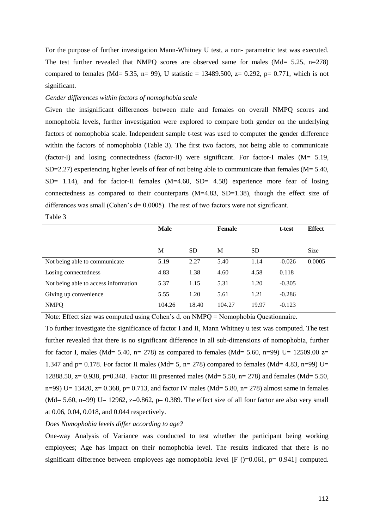For the purpose of further investigation Mann-Whitney U test, a non- parametric test was executed. The test further revealed that NMPQ scores are observed same for males (Md= 5.25, n=278) compared to females (Md= 5.35, n= 99), U statistic = 13489.500, z= 0.292, p= 0.771, which is not significant.

### *Gender differences within factors of nomophobia scale*

Table 3

Given the insignificant differences between male and females on overall NMPQ scores and nomophobia levels, further investigation were explored to compare both gender on the underlying factors of nomophobia scale. Independent sample t-test was used to computer the gender difference within the factors of nomophobia (Table 3). The first two factors, not being able to communicate (factor-I) and losing connectedness (factor-II) were significant. For factor-I males (M= 5.19, SD=2.27) experiencing higher levels of fear of not being able to communicate than females ( $M = 5.40$ ,  $SD= 1.14$ ), and for factor-II females  $(M=4.60, SD= 4.58)$  experience more fear of losing connectedness as compared to their counterparts  $(M=4.83, SD=1.38)$ , though the effect size of differences was small (Cohen's  $d= 0.0005$ ). The rest of two factors were not significant.

|                                      | <b>Male</b> |           | <b>Female</b> |           | t-test   | <b>Effect</b> |
|--------------------------------------|-------------|-----------|---------------|-----------|----------|---------------|
|                                      | M           | <b>SD</b> | M             | <b>SD</b> |          | Size          |
| Not being able to communicate        | 5.19        | 2.27      | 5.40          | 1.14      | $-0.026$ | 0.0005        |
| Losing connectedness                 | 4.83        | 1.38      | 4.60          | 4.58      | 0.118    |               |
| Not being able to access information | 5.37        | 1.15      | 5.31          | 1.20      | $-0.305$ |               |
| Giving up convenience                | 5.55        | 1.20      | 5.61          | 1.21      | $-0.286$ |               |
| <b>NMPQ</b>                          | 104.26      | 18.40     | 104.27        | 19.97     | $-0.123$ |               |

Note: Effect size was computed using Cohen's d. on NMPQ = Nomophobia Questionnaire. To further investigate the significance of factor I and II, Mann Whitney u test was computed. The test further revealed that there is no significant difference in all sub-dimensions of nomophobia, further for factor I, males (Md= 5.40, n= 278) as compared to females (Md= 5.60, n=99) U= 12509.00  $z=$ 1.347 and p= 0.178. For factor II males (Md= 5, n= 278) compared to females (Md= 4.83, n=99) U= 12888.50, z= 0.938, p=0.348. Factor III presented males (Md= 5.50, n= 278) and females (Md= 5.50, n=99) U= 13420, z= 0.368, p= 0.713, and factor IV males (Md= 5.80, n= 278) almost same in females  $(Md= 5.60, n=99) U= 12962, z=0.862, p= 0.389$ . The effect size of all four factor are also very small at 0.06, 0.04, 0.018, and 0.044 respectively.

# *Does Nomophobia levels differ according to age?*

One-way Analysis of Variance was conducted to test whether the participant being working employees; Age has impact on their nomophobia level. The results indicated that there is no significant difference between employees age nomophobia level  $[F ()=0.061, p= 0.941]$  computed.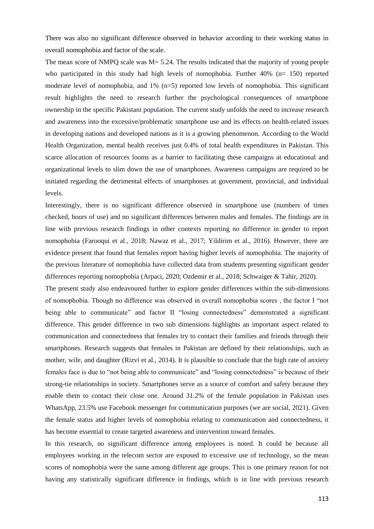There was also no significant difference observed in behavior according to their working status in overall nomophobia and factor of the scale.

The mean score of NMPQ scale was M = 5.24. The results indicated that the majority of young people who participated in this study had high levels of nomophobia. Further 40% (n= 150) reported moderate level of nomophobia, and 1% (n=5) reported low levels of nomophobia. This significant result highlights the need to research further the psychological consequences of smartphone ownership in the specific Pakistani population. The current study unfolds the need to increase research and awareness into the excessive/problematic smartphone use and its effects on health-related issues in developing nations and developed nations as it is a growing phenomenon. According to the World Health Organization, mental health receives just 0.4% of total health expenditures in Pakistan. This scarce allocation of resources looms as a barrier to facilitating these campaigns at educational and organizational levels to slim down the use of smartphones. Awareness campaigns are required to be initiated regarding the detrimental effects of smartphones at government, provincial, and individual levels.

Interestingly, there is no significant difference observed in smartphone use (numbers of times checked, hours of use) and no significant differences between males and females. The findings are in line with previous research findings in other contexts reporting no difference in gender to report nomophobia (Farooqui et al., 2018; Nawaz et al., 2017; Yildirim et al., 2016). However, there are evidence present that found that females report having higher levels of nomophobia. The majority of the previous literature of nomophobia have collected data from students presenting significant gender differences reporting nomophobia (Arpaci, 2020; Ozdemir et al., 2018; Schwaiger & Tahir, 2020).

The present study also endeavoured further to explore gender differences within the sub-dimensions of nomophobia. Though no difference was observed in overall nomophobia scores , the factor I "not being able to communicate" and factor II "losing connectedness" demonstrated a significant difference. This gender difference in two sub dimensions highlights an important aspect related to communication and connectedness that females try to contact their families and friends through their smartphones. Research suggests that females in Pakistan are defined by their relationships, such as mother, wife, and daughter (Rizvi et al., 2014). It is plausible to conclude that the high rate of anxiety females face is due to "not being able to communicate" and "losing connectedness" is because of their strong-tie relationships in society. Smartphones serve as a source of comfort and safety because they enable them to contact their close one. Around 31.2% of the female population in Pakistan uses WhatsApp, 23.5% use Facebook messenger for communication purposes (we are social, 2021). Given the female status and higher levels of nomophobia relating to communication and connectedness, it has become essential to create targeted awareness and intervention toward females.

In this research, no significant difference among employees is noted. It could be because all employees working in the telecom sector are exposed to excessive use of technology, so the mean scores of nomophobia were the same among different age groups. This is one primary reason for not having any statistically significant difference in findings, which is in line with previous research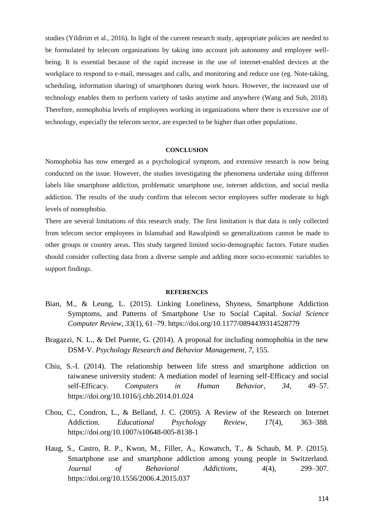studies (Yildirim et al., 2016). In light of the current research study, appropriate policies are needed to be formulated by telecom organizations by taking into account job autonomy and employee wellbeing. It is essential because of the rapid increase in the use of internet-enabled devices at the workplace to respond to e-mail, messages and calls, and monitoring and reduce use (eg. Note-taking, scheduling, information sharing) of smartphones during work hours. However, the increased use of technology enables them to perform variety of tasks anytime and anywhere (Wang and Suh, 2018). Therefore, nomophobia levels of employees working in organizations where there is excessive use of technology, especially the telecom sector, are expected to be higher than other populations.

### **CONCLUSION**

Nomophobia has now emerged as a psychological symptom, and extensive research is now being conducted on the issue. However, the studies investigating the phenomena undertake using different labels like smartphone addiction, problematic smartphone use, internet addiction, and social media addiction. The results of the study confirm that telecom sector employees suffer moderate to high levels of nomophobia.

There are several limitations of this research study. The first limitation is that data is only collected from telecom sector employees in Islamabad and Rawalpindi so generalizations cannot be made to other groups or country areas. This study targeted limited socio-demographic factors. Future studies should consider collecting data from a diverse sample and adding more socio-economic variables to support findings.

#### **REFERENCES**

- Bian, M., & Leung, L. (2015). Linking Loneliness, Shyness, Smartphone Addiction Symptoms, and Patterns of Smartphone Use to Social Capital. *Social Science Computer Review*, *33*(1), 61–79. https://doi.org/10.1177/0894439314528779
- Bragazzi, N. L., & Del Puente, G. (2014). A proposal for including nomophobia in the new DSM-V. *Psychology Research and Behavior Management*, *7*, 155.
- Chiu, S.-I. (2014). The relationship between life stress and smartphone addiction on taiwanese university student: A mediation model of learning self-Efficacy and social self-Efficacy. *Computers in Human Behavior*, *34*, 49–57. https://doi.org/10.1016/j.chb.2014.01.024
- Chou, C., Condron, L., & Belland, J. C. (2005). A Review of the Research on Internet Addiction. *Educational Psychology Review*, *17*(4), 363–388. https://doi.org/10.1007/s10648-005-8138-1
- Haug, S., Castro, R. P., Kwon, M., Filler, A., Kowatsch, T., & Schaub, M. P. (2015). Smartphone use and smartphone addiction among young people in Switzerland. *Journal of Behavioral Addictions*, *4*(4), 299–307. https://doi.org/10.1556/2006.4.2015.037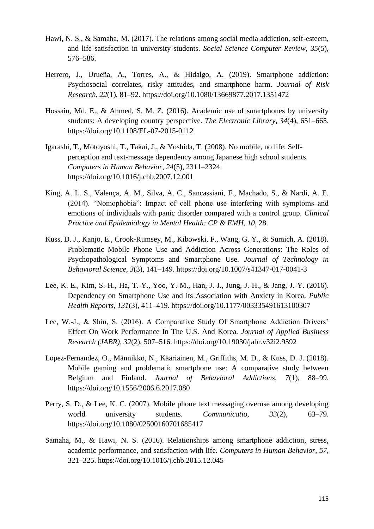- Hawi, N. S., & Samaha, M. (2017). The relations among social media addiction, self-esteem, and life satisfaction in university students. *Social Science Computer Review*, *35*(5), 576–586.
- Herrero, J., Urueña, A., Torres, A., & Hidalgo, A. (2019). Smartphone addiction: Psychosocial correlates, risky attitudes, and smartphone harm. *Journal of Risk Research*, *22*(1), 81–92. https://doi.org/10.1080/13669877.2017.1351472
- Hossain, Md. E., & Ahmed, S. M. Z. (2016). Academic use of smartphones by university students: A developing country perspective. *The Electronic Library*, *34*(4), 651–665. https://doi.org/10.1108/EL-07-2015-0112
- Igarashi, T., Motoyoshi, T., Takai, J., & Yoshida, T. (2008). No mobile, no life: Selfperception and text-message dependency among Japanese high school students. *Computers in Human Behavior*, *24*(5), 2311–2324. https://doi.org/10.1016/j.chb.2007.12.001
- King, A. L. S., Valença, A. M., Silva, A. C., Sancassiani, F., Machado, S., & Nardi, A. E. (2014). "Nomophobia": Impact of cell phone use interfering with symptoms and emotions of individuals with panic disorder compared with a control group. *Clinical Practice and Epidemiology in Mental Health: CP & EMH*, *10*, 28.
- Kuss, D. J., Kanjo, E., Crook-Rumsey, M., Kibowski, F., Wang, G. Y., & Sumich, A. (2018). Problematic Mobile Phone Use and Addiction Across Generations: The Roles of Psychopathological Symptoms and Smartphone Use. *Journal of Technology in Behavioral Science*, *3*(3), 141–149. https://doi.org/10.1007/s41347-017-0041-3
- Lee, K. E., Kim, S.-H., Ha, T.-Y., Yoo, Y.-M., Han, J.-J., Jung, J.-H., & Jang, J.-Y. (2016). Dependency on Smartphone Use and its Association with Anxiety in Korea. *Public Health Reports*, *131*(3), 411–419. https://doi.org/10.1177/003335491613100307
- Lee, W.-J., & Shin, S. (2016). A Comparative Study Of Smartphone Addiction Drivers' Effect On Work Performance In The U.S. And Korea. *Journal of Applied Business Research (JABR)*, *32*(2), 507–516. https://doi.org/10.19030/jabr.v32i2.9592
- Lopez-Fernandez, O., Männikkö, N., Kääriäinen, M., Griffiths, M. D., & Kuss, D. J. (2018). Mobile gaming and problematic smartphone use: A comparative study between Belgium and Finland. *Journal of Behavioral Addictions*, *7*(1), 88–99. https://doi.org/10.1556/2006.6.2017.080
- Perry, S. D., & Lee, K. C. (2007). Mobile phone text messaging overuse among developing world university students. *Communicatio*, *33*(2), 63–79. https://doi.org/10.1080/02500160701685417
- Samaha, M., & Hawi, N. S. (2016). Relationships among smartphone addiction, stress, academic performance, and satisfaction with life. *Computers in Human Behavior*, *57*, 321–325. https://doi.org/10.1016/j.chb.2015.12.045